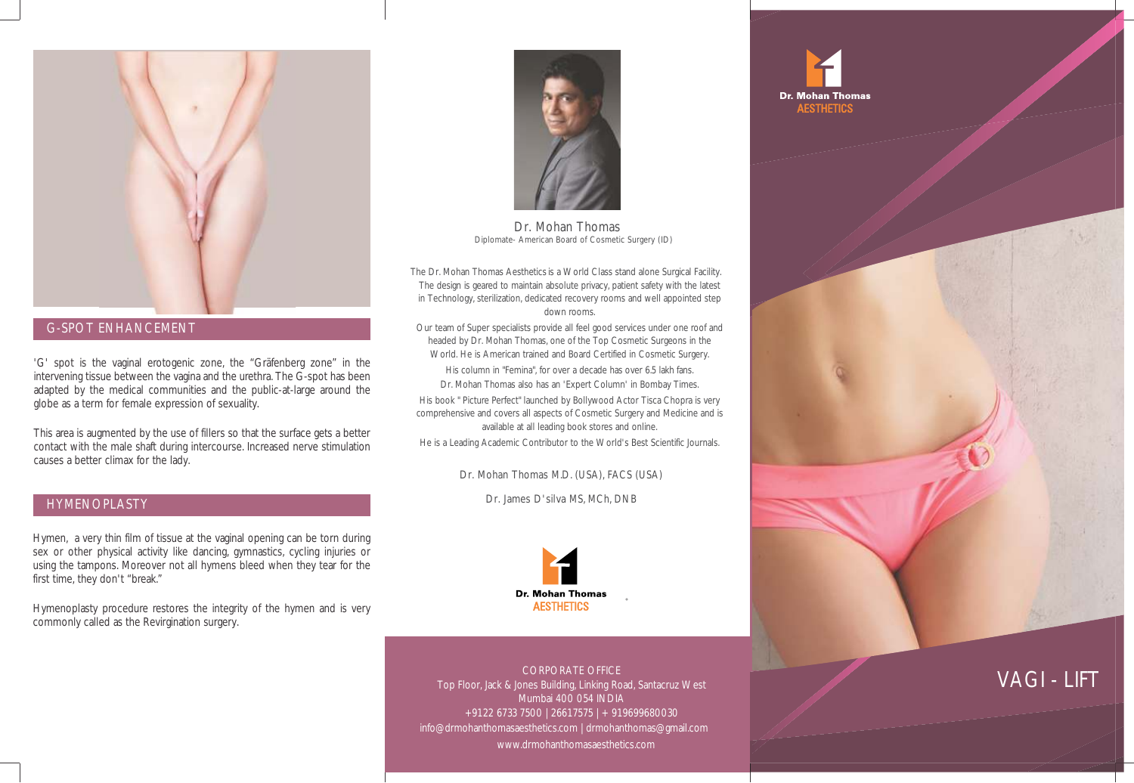

#### G-SPOT ENHANCEMENT

'G' spot is the vaginal erotogenic zone, the "Gräfenberg zone" in the intervening tissue between the vagina and the urethra. The G-spot has been adapted by the medical communities and the public-at-large around the globe as a term for female expression of sexuality.

This area is augmented by the use of fillers so that the surface gets a better contact with the male shaft during intercourse. Increased nerve stimulation causes a better climax for the lady.

### HYMENOPLASTY

Hymen, a very thin film of tissue at the vaginal opening can be torn during sex or other physical activity like dancing, gymnastics, cycling injuries or using the tampons. Moreover not all hymens bleed when they tear for the first time, they don't "break."

Hymenoplasty procedure restores the integrity of the hymen and is very commonly called as the Revirgination surgery.



Dr. Mohan Thomas Diplomate- American Board of Cosmetic Surgery (ID)

 The Dr. Mohan Thomas Aesthetics is a World Class stand alone Surgical Facility. The design is geared to maintain absolute privacy, patient safety with the latest in Technology, sterilization, dedicated recovery rooms and well appointed step down rooms.

Our team of Super specialists provide all feel good services under one roof and headed by Dr. Mohan Thomas, one of the Top Cosmetic Surgeons in the World. He is American trained and Board Certified in Cosmetic Surgery. His column in "Femina", for over a decade has over 6.5 lakh fans. Dr. Mohan Thomas also has an 'Expert Column' in Bombay Times.

His book " Picture Perfect" launched by Bollywood Actor Tisca Chopra is very comprehensive and covers all aspects of Cosmetic Surgery and Medicine and is available at all leading book stores and online.

He is a Leading Academic Contributor to the World's Best Scientific Journals.

Dr. Mohan Thomas M.D. (USA), FACS (USA)

Dr. James D'silva MS, MCh, DNB



CORPORATE OFFICE Top Floor, Jack & Jones Building, Linking Road, Santacruz West Mumbai 400 054 INDIA +91 22 6733 7500 | 2661 7575 | + 91 9699680030 info@drmohanthomasaesthetics.com | drmohanthomas@gmail.com www.drmohanthomasaesthetics.com





# VAGI - LIFT